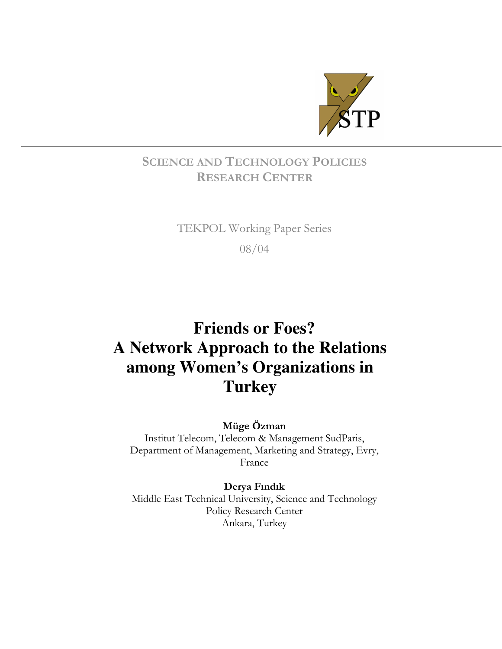

# SCIENCE AND TECHNOLOGY POLICIES RESEARCH CENTER

# TEKPOL Working Paper Series

08/04

# **Friends or Foes? A Network Approach to the Relations among Women's Organizations in Turkey**

Müge Özman

Institut Telecom, Telecom & Management SudParis, Department of Management, Marketing and Strategy, Evry, France

Derya Fındık

Middle East Technical University, Science and Technology Policy Research Center Ankara, Turkey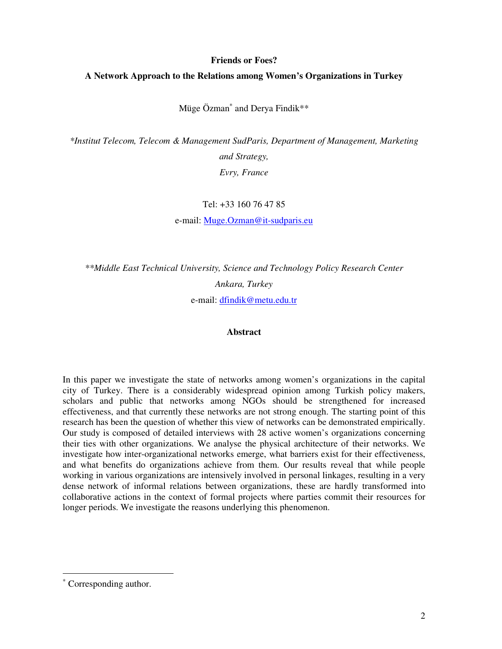# **Friends or Foes?**

# **A Network Approach to the Relations among Women's Organizations in Turkey**

Müge Özman<sup>∗</sup> and Derya Findik\*\*

*\*Institut Telecom, Telecom & Management SudParis, Department of Management, Marketing and Strategy, Evry, France* 

Tel: +33 160 76 47 85

e-mail: Muge.Ozman@it-sudparis.eu

*\*\*Middle East Technical University, Science and Technology Policy Research Center Ankara, Turkey*  e-mail: dfindik@metu.edu.tr

# **Abstract**

In this paper we investigate the state of networks among women's organizations in the capital city of Turkey. There is a considerably widespread opinion among Turkish policy makers, scholars and public that networks among NGOs should be strengthened for increased effectiveness, and that currently these networks are not strong enough. The starting point of this research has been the question of whether this view of networks can be demonstrated empirically. Our study is composed of detailed interviews with 28 active women's organizations concerning their ties with other organizations. We analyse the physical architecture of their networks. We investigate how inter-organizational networks emerge, what barriers exist for their effectiveness, and what benefits do organizations achieve from them. Our results reveal that while people working in various organizations are intensively involved in personal linkages, resulting in a very dense network of informal relations between organizations, these are hardly transformed into collaborative actions in the context of formal projects where parties commit their resources for longer periods. We investigate the reasons underlying this phenomenon.

 $\overline{a}$ 

<sup>∗</sup> Corresponding author.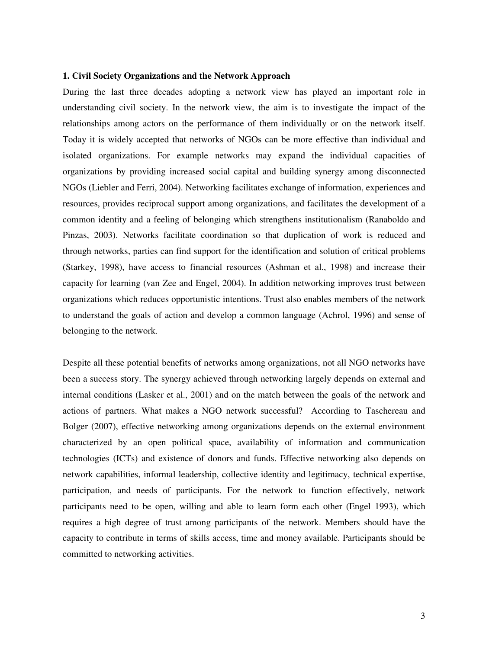# **1. Civil Society Organizations and the Network Approach**

During the last three decades adopting a network view has played an important role in understanding civil society. In the network view, the aim is to investigate the impact of the relationships among actors on the performance of them individually or on the network itself. Today it is widely accepted that networks of NGOs can be more effective than individual and isolated organizations. For example networks may expand the individual capacities of organizations by providing increased social capital and building synergy among disconnected NGOs (Liebler and Ferri, 2004). Networking facilitates exchange of information, experiences and resources, provides reciprocal support among organizations, and facilitates the development of a common identity and a feeling of belonging which strengthens institutionalism (Ranaboldo and Pinzas, 2003). Networks facilitate coordination so that duplication of work is reduced and through networks, parties can find support for the identification and solution of critical problems (Starkey, 1998), have access to financial resources (Ashman et al., 1998) and increase their capacity for learning (van Zee and Engel, 2004). In addition networking improves trust between organizations which reduces opportunistic intentions. Trust also enables members of the network to understand the goals of action and develop a common language (Achrol, 1996) and sense of belonging to the network.

Despite all these potential benefits of networks among organizations, not all NGO networks have been a success story. The synergy achieved through networking largely depends on external and internal conditions (Lasker et al., 2001) and on the match between the goals of the network and actions of partners. What makes a NGO network successful? According to Taschereau and Bolger (2007), effective networking among organizations depends on the external environment characterized by an open political space, availability of information and communication technologies (ICTs) and existence of donors and funds. Effective networking also depends on network capabilities, informal leadership, collective identity and legitimacy, technical expertise, participation, and needs of participants. For the network to function effectively, network participants need to be open, willing and able to learn form each other (Engel 1993), which requires a high degree of trust among participants of the network. Members should have the capacity to contribute in terms of skills access, time and money available. Participants should be committed to networking activities.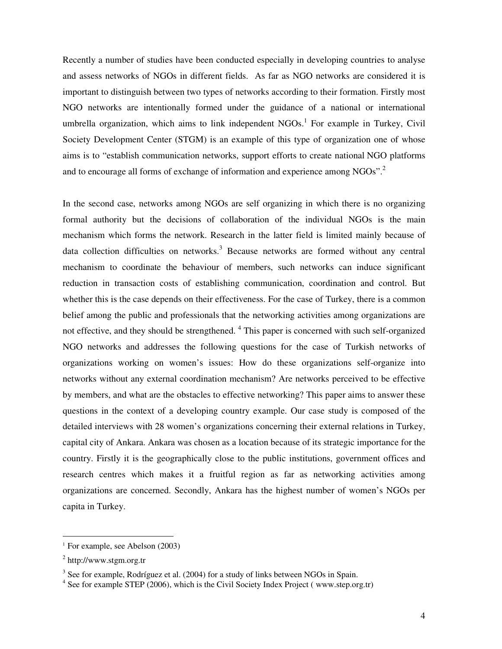Recently a number of studies have been conducted especially in developing countries to analyse and assess networks of NGOs in different fields. As far as NGO networks are considered it is important to distinguish between two types of networks according to their formation. Firstly most NGO networks are intentionally formed under the guidance of a national or international umbrella organization, which aims to link independent NGOs.<sup>1</sup> For example in Turkey, Civil Society Development Center (STGM) is an example of this type of organization one of whose aims is to "establish communication networks, support efforts to create national NGO platforms and to encourage all forms of exchange of information and experience among  $NGOs$ <sup>".2</sup>

In the second case, networks among NGOs are self organizing in which there is no organizing formal authority but the decisions of collaboration of the individual NGOs is the main mechanism which forms the network. Research in the latter field is limited mainly because of data collection difficulties on networks.<sup>3</sup> Because networks are formed without any central mechanism to coordinate the behaviour of members, such networks can induce significant reduction in transaction costs of establishing communication, coordination and control. But whether this is the case depends on their effectiveness. For the case of Turkey, there is a common belief among the public and professionals that the networking activities among organizations are not effective, and they should be strengthened. <sup>4</sup> This paper is concerned with such self-organized NGO networks and addresses the following questions for the case of Turkish networks of organizations working on women's issues: How do these organizations self-organize into networks without any external coordination mechanism? Are networks perceived to be effective by members, and what are the obstacles to effective networking? This paper aims to answer these questions in the context of a developing country example. Our case study is composed of the detailed interviews with 28 women's organizations concerning their external relations in Turkey, capital city of Ankara. Ankara was chosen as a location because of its strategic importance for the country. Firstly it is the geographically close to the public institutions, government offices and research centres which makes it a fruitful region as far as networking activities among organizations are concerned. Secondly, Ankara has the highest number of women's NGOs per capita in Turkey.

 $\overline{a}$ 

<sup>&</sup>lt;sup>1</sup> For example, see Abelson (2003)

<sup>&</sup>lt;sup>2</sup> http://www.stgm.org.tr

 $3$  See for example, Rodríguez et al. (2004) for a study of links between NGOs in Spain.

<sup>&</sup>lt;sup>4</sup> See for example STEP (2006), which is the Civil Society Index Project (www.step.org.tr)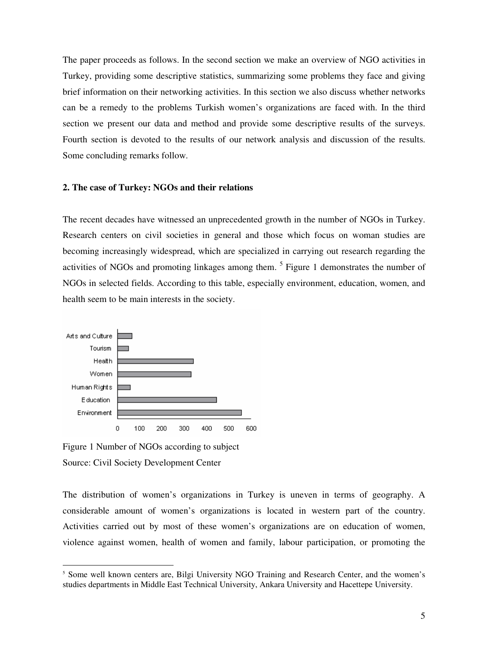The paper proceeds as follows. In the second section we make an overview of NGO activities in Turkey, providing some descriptive statistics, summarizing some problems they face and giving brief information on their networking activities. In this section we also discuss whether networks can be a remedy to the problems Turkish women's organizations are faced with. In the third section we present our data and method and provide some descriptive results of the surveys. Fourth section is devoted to the results of our network analysis and discussion of the results. Some concluding remarks follow.

# **2. The case of Turkey: NGOs and their relations**

The recent decades have witnessed an unprecedented growth in the number of NGOs in Turkey. Research centers on civil societies in general and those which focus on woman studies are becoming increasingly widespread, which are specialized in carrying out research regarding the activities of NGOs and promoting linkages among them.<sup>5</sup> Figure 1 demonstrates the number of NGOs in selected fields. According to this table, especially environment, education, women, and health seem to be main interests in the society.



Figure 1 Number of NGOs according to subject Source: Civil Society Development Center

 $\overline{a}$ 

The distribution of women's organizations in Turkey is uneven in terms of geography. A considerable amount of women's organizations is located in western part of the country. Activities carried out by most of these women's organizations are on education of women, violence against women, health of women and family, labour participation, or promoting the

<sup>&</sup>lt;sup>5</sup> Some well known centers are, Bilgi University NGO Training and Research Center, and the women's studies departments in Middle East Technical University, Ankara University and Hacettepe University.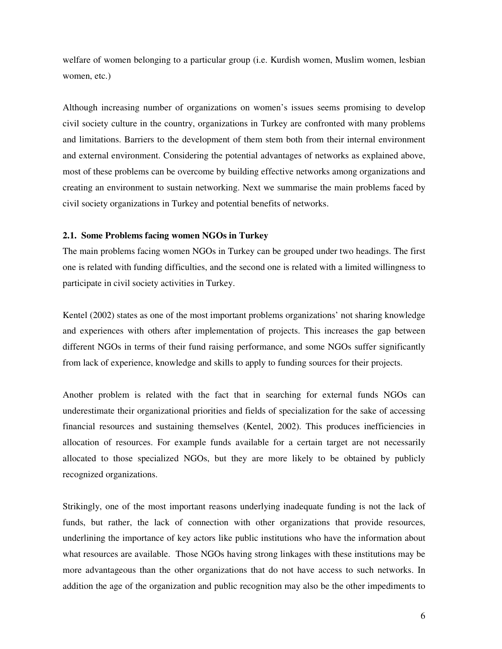welfare of women belonging to a particular group (i.e. Kurdish women, Muslim women, lesbian women, etc.)

Although increasing number of organizations on women's issues seems promising to develop civil society culture in the country, organizations in Turkey are confronted with many problems and limitations. Barriers to the development of them stem both from their internal environment and external environment. Considering the potential advantages of networks as explained above, most of these problems can be overcome by building effective networks among organizations and creating an environment to sustain networking. Next we summarise the main problems faced by civil society organizations in Turkey and potential benefits of networks.

# **2.1. Some Problems facing women NGOs in Turkey**

The main problems facing women NGOs in Turkey can be grouped under two headings. The first one is related with funding difficulties, and the second one is related with a limited willingness to participate in civil society activities in Turkey.

Kentel (2002) states as one of the most important problems organizations' not sharing knowledge and experiences with others after implementation of projects. This increases the gap between different NGOs in terms of their fund raising performance, and some NGOs suffer significantly from lack of experience, knowledge and skills to apply to funding sources for their projects.

Another problem is related with the fact that in searching for external funds NGOs can underestimate their organizational priorities and fields of specialization for the sake of accessing financial resources and sustaining themselves (Kentel, 2002). This produces inefficiencies in allocation of resources. For example funds available for a certain target are not necessarily allocated to those specialized NGOs, but they are more likely to be obtained by publicly recognized organizations.

Strikingly, one of the most important reasons underlying inadequate funding is not the lack of funds, but rather, the lack of connection with other organizations that provide resources, underlining the importance of key actors like public institutions who have the information about what resources are available. Those NGOs having strong linkages with these institutions may be more advantageous than the other organizations that do not have access to such networks. In addition the age of the organization and public recognition may also be the other impediments to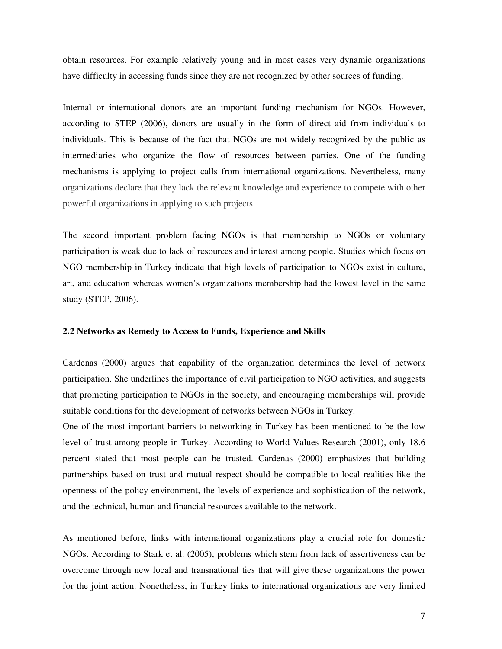obtain resources. For example relatively young and in most cases very dynamic organizations have difficulty in accessing funds since they are not recognized by other sources of funding.

Internal or international donors are an important funding mechanism for NGOs. However, according to STEP (2006), donors are usually in the form of direct aid from individuals to individuals. This is because of the fact that NGOs are not widely recognized by the public as intermediaries who organize the flow of resources between parties. One of the funding mechanisms is applying to project calls from international organizations. Nevertheless, many organizations declare that they lack the relevant knowledge and experience to compete with other powerful organizations in applying to such projects.

The second important problem facing NGOs is that membership to NGOs or voluntary participation is weak due to lack of resources and interest among people. Studies which focus on NGO membership in Turkey indicate that high levels of participation to NGOs exist in culture, art, and education whereas women's organizations membership had the lowest level in the same study (STEP, 2006).

# **2.2 Networks as Remedy to Access to Funds, Experience and Skills**

Cardenas (2000) argues that capability of the organization determines the level of network participation. She underlines the importance of civil participation to NGO activities, and suggests that promoting participation to NGOs in the society, and encouraging memberships will provide suitable conditions for the development of networks between NGOs in Turkey.

One of the most important barriers to networking in Turkey has been mentioned to be the low level of trust among people in Turkey. According to World Values Research (2001), only 18.6 percent stated that most people can be trusted. Cardenas (2000) emphasizes that building partnerships based on trust and mutual respect should be compatible to local realities like the openness of the policy environment, the levels of experience and sophistication of the network, and the technical, human and financial resources available to the network.

As mentioned before, links with international organizations play a crucial role for domestic NGOs. According to Stark et al. (2005), problems which stem from lack of assertiveness can be overcome through new local and transnational ties that will give these organizations the power for the joint action. Nonetheless, in Turkey links to international organizations are very limited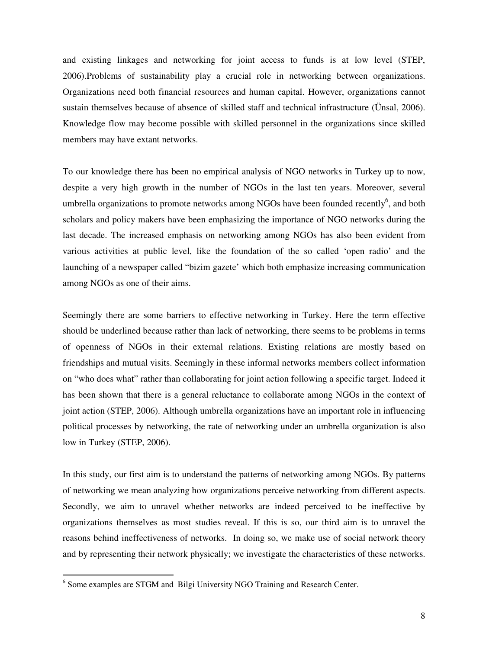and existing linkages and networking for joint access to funds is at low level (STEP, 2006).Problems of sustainability play a crucial role in networking between organizations. Organizations need both financial resources and human capital. However, organizations cannot sustain themselves because of absence of skilled staff and technical infrastructure (Ünsal, 2006). Knowledge flow may become possible with skilled personnel in the organizations since skilled members may have extant networks.

To our knowledge there has been no empirical analysis of NGO networks in Turkey up to now, despite a very high growth in the number of NGOs in the last ten years. Moreover, several umbrella organizations to promote networks among NGOs have been founded recently<sup>6</sup>, and both scholars and policy makers have been emphasizing the importance of NGO networks during the last decade. The increased emphasis on networking among NGOs has also been evident from various activities at public level, like the foundation of the so called 'open radio' and the launching of a newspaper called "bizim gazete' which both emphasize increasing communication among NGOs as one of their aims.

Seemingly there are some barriers to effective networking in Turkey. Here the term effective should be underlined because rather than lack of networking, there seems to be problems in terms of openness of NGOs in their external relations. Existing relations are mostly based on friendships and mutual visits. Seemingly in these informal networks members collect information on "who does what" rather than collaborating for joint action following a specific target. Indeed it has been shown that there is a general reluctance to collaborate among NGOs in the context of joint action (STEP, 2006). Although umbrella organizations have an important role in influencing political processes by networking, the rate of networking under an umbrella organization is also low in Turkey (STEP, 2006).

In this study, our first aim is to understand the patterns of networking among NGOs. By patterns of networking we mean analyzing how organizations perceive networking from different aspects. Secondly, we aim to unravel whether networks are indeed perceived to be ineffective by organizations themselves as most studies reveal. If this is so, our third aim is to unravel the reasons behind ineffectiveness of networks. In doing so, we make use of social network theory and by representing their network physically; we investigate the characteristics of these networks.

 $\overline{a}$ 

<sup>&</sup>lt;sup>6</sup> Some examples are STGM and Bilgi University NGO Training and Research Center.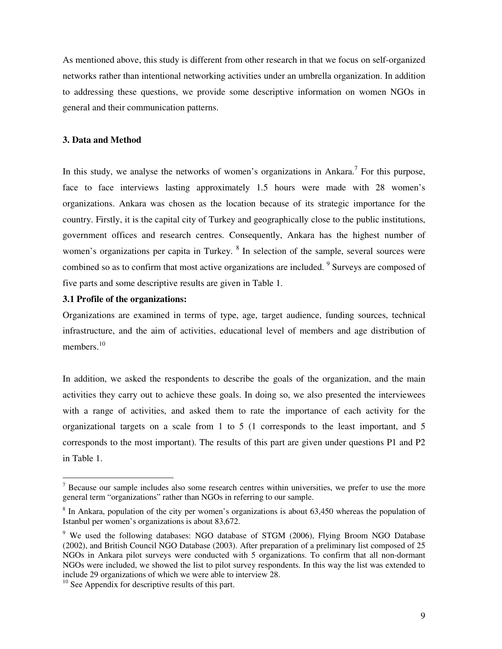As mentioned above, this study is different from other research in that we focus on self-organized networks rather than intentional networking activities under an umbrella organization. In addition to addressing these questions, we provide some descriptive information on women NGOs in general and their communication patterns.

# **3. Data and Method**

In this study, we analyse the networks of women's organizations in Ankara.<sup>7</sup> For this purpose, face to face interviews lasting approximately 1.5 hours were made with 28 women's organizations. Ankara was chosen as the location because of its strategic importance for the country. Firstly, it is the capital city of Turkey and geographically close to the public institutions, government offices and research centres. Consequently, Ankara has the highest number of women's organizations per capita in Turkey.  $8$  In selection of the sample, several sources were combined so as to confirm that most active organizations are included. <sup>9</sup> Surveys are composed of five parts and some descriptive results are given in Table 1.

# **3.1 Profile of the organizations:**

 $\overline{a}$ 

Organizations are examined in terms of type, age, target audience, funding sources, technical infrastructure, and the aim of activities, educational level of members and age distribution of members.<sup>10</sup>

In addition, we asked the respondents to describe the goals of the organization, and the main activities they carry out to achieve these goals. In doing so, we also presented the interviewees with a range of activities, and asked them to rate the importance of each activity for the organizational targets on a scale from 1 to 5 (1 corresponds to the least important, and 5 corresponds to the most important). The results of this part are given under questions P1 and P2 in Table 1.

 $<sup>7</sup>$  Because our sample includes also some research centres within universities, we prefer to use the more</sup> general term "organizations" rather than NGOs in referring to our sample.

<sup>&</sup>lt;sup>8</sup> In Ankara, population of the city per women's organizations is about 63,450 whereas the population of Istanbul per women's organizations is about 83,672.

<sup>&</sup>lt;sup>9</sup> We used the following databases: NGO database of STGM (2006), Flying Broom NGO Database (2002), and British Council NGO Database (2003). After preparation of a preliminary list composed of 25 NGOs in Ankara pilot surveys were conducted with 5 organizations. To confirm that all non-dormant NGOs were included, we showed the list to pilot survey respondents. In this way the list was extended to include 29 organizations of which we were able to interview 28.

<sup>&</sup>lt;sup>10</sup> See Appendix for descriptive results of this part.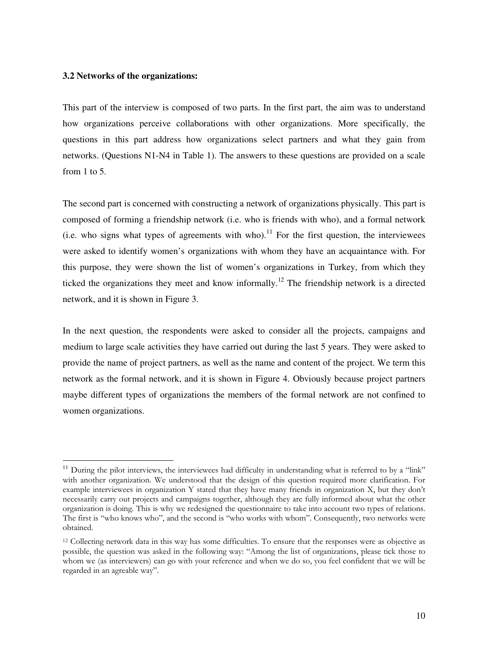# **3.2 Networks of the organizations:**

 $\overline{a}$ 

This part of the interview is composed of two parts. In the first part, the aim was to understand how organizations perceive collaborations with other organizations. More specifically, the questions in this part address how organizations select partners and what they gain from networks. (Questions N1-N4 in Table 1). The answers to these questions are provided on a scale from 1 to 5.

The second part is concerned with constructing a network of organizations physically. This part is composed of forming a friendship network (i.e. who is friends with who), and a formal network (i.e. who signs what types of agreements with who).<sup>11</sup> For the first question, the interviewees were asked to identify women's organizations with whom they have an acquaintance with. For this purpose, they were shown the list of women's organizations in Turkey, from which they ticked the organizations they meet and know informally.<sup>12</sup> The friendship network is a directed network, and it is shown in Figure 3.

In the next question, the respondents were asked to consider all the projects, campaigns and medium to large scale activities they have carried out during the last 5 years. They were asked to provide the name of project partners, as well as the name and content of the project. We term this network as the formal network, and it is shown in Figure 4. Obviously because project partners maybe different types of organizations the members of the formal network are not confined to women organizations.

 $11$  During the pilot interviews, the interviewees had difficulty in understanding what is referred to by a "link" with another organization. We understood that the design of this question required more clarification. For example interviewees in organization Y stated that they have many friends in organization X, but they don't necessarily carry out projects and campaigns together, although they are fully informed about what the other organization is doing. This is why we redesigned the questionnaire to take into account two types of relations. The first is "who knows who", and the second is "who works with whom". Consequently, two networks were obtained.

<sup>12</sup> Collecting network data in this way has some difficulties. To ensure that the responses were as objective as possible, the question was asked in the following way: "Among the list of organizations, please tick those to whom we (as interviewers) can go with your reference and when we do so, you feel confident that we will be regarded in an agreable way".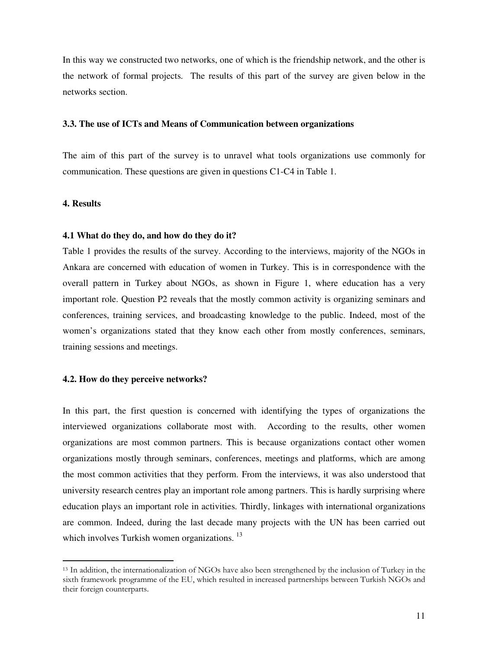In this way we constructed two networks, one of which is the friendship network, and the other is the network of formal projects. The results of this part of the survey are given below in the networks section.

# **3.3. The use of ICTs and Means of Communication between organizations**

The aim of this part of the survey is to unravel what tools organizations use commonly for communication. These questions are given in questions C1-C4 in Table 1.

# **4. Results**

 $\overline{a}$ 

# **4.1 What do they do, and how do they do it?**

Table 1 provides the results of the survey. According to the interviews, majority of the NGOs in Ankara are concerned with education of women in Turkey. This is in correspondence with the overall pattern in Turkey about NGOs, as shown in Figure 1, where education has a very important role. Question P2 reveals that the mostly common activity is organizing seminars and conferences, training services, and broadcasting knowledge to the public. Indeed, most of the women's organizations stated that they know each other from mostly conferences, seminars, training sessions and meetings.

# **4.2. How do they perceive networks?**

In this part, the first question is concerned with identifying the types of organizations the interviewed organizations collaborate most with. According to the results, other women organizations are most common partners. This is because organizations contact other women organizations mostly through seminars, conferences, meetings and platforms, which are among the most common activities that they perform. From the interviews, it was also understood that university research centres play an important role among partners. This is hardly surprising where education plays an important role in activities. Thirdly, linkages with international organizations are common. Indeed, during the last decade many projects with the UN has been carried out which involves Turkish women organizations.<sup>13</sup>

<sup>13</sup> In addition, the internationalization of NGOs have also been strengthened by the inclusion of Turkey in the sixth framework programme of the EU, which resulted in increased partnerships between Turkish NGOs and their foreign counterparts.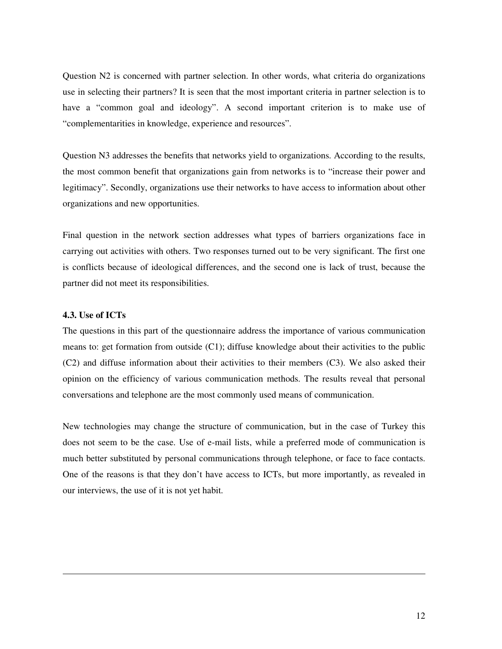Question N2 is concerned with partner selection. In other words, what criteria do organizations use in selecting their partners? It is seen that the most important criteria in partner selection is to have a "common goal and ideology". A second important criterion is to make use of "complementarities in knowledge, experience and resources".

Question N3 addresses the benefits that networks yield to organizations. According to the results, the most common benefit that organizations gain from networks is to "increase their power and legitimacy". Secondly, organizations use their networks to have access to information about other organizations and new opportunities.

Final question in the network section addresses what types of barriers organizations face in carrying out activities with others. Two responses turned out to be very significant. The first one is conflicts because of ideological differences, and the second one is lack of trust, because the partner did not meet its responsibilities.

# **4.3. Use of ICTs**

 $\overline{a}$ 

The questions in this part of the questionnaire address the importance of various communication means to: get formation from outside (C1); diffuse knowledge about their activities to the public (C2) and diffuse information about their activities to their members (C3). We also asked their opinion on the efficiency of various communication methods. The results reveal that personal conversations and telephone are the most commonly used means of communication.

New technologies may change the structure of communication, but in the case of Turkey this does not seem to be the case. Use of e-mail lists, while a preferred mode of communication is much better substituted by personal communications through telephone, or face to face contacts. One of the reasons is that they don't have access to ICTs, but more importantly, as revealed in our interviews, the use of it is not yet habit.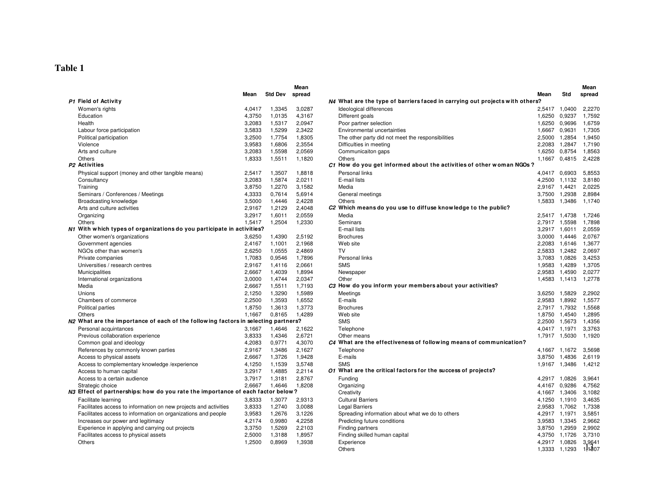# **Table 1**

|                                                                                    |        |                | Mean   |                                                                              |        |               | Mean   |
|------------------------------------------------------------------------------------|--------|----------------|--------|------------------------------------------------------------------------------|--------|---------------|--------|
|                                                                                    | Mean   | <b>Std Dev</b> | spread |                                                                              | Mean   | Std           | spread |
| P1 Field of Activity                                                               |        |                |        | N4 What are the type of barriers faced in carrying out projects with others? |        |               |        |
| Women's rights                                                                     | 4.0417 | 1,3345         | 3,0287 | Ideological differences                                                      |        | 2,5417 1,0400 | 2,2270 |
| Education                                                                          | 4,3750 | 1,0135         | 4,3167 | Different goals                                                              |        | 1,6250 0,9237 | 1,7592 |
| Health                                                                             | 3,2083 | 1,5317         | 2,0947 | Poor partner selection                                                       | 1,6250 | 0,9696        | 1,6759 |
| Labour force participation                                                         | 3,5833 | 1,5299         | 2,3422 | Environmental uncertainties                                                  |        | 1,6667 0,9631 | 1,7305 |
| Political participation                                                            | 3,2500 | 1,7754         | 1,8305 | The other party did not meet the responsibilities                            | 2,5000 | 1,2854        | 1,9450 |
| Violence                                                                           | 3,9583 | 1,6806         | 2,3554 | Difficulties in meeting                                                      | 2,2083 | 1,2847        | 1,7190 |
| Arts and culture                                                                   | 3,2083 | 1,5598         | 2,0569 | Communicaiton gaps                                                           | 1,6250 | 0,8754        | 1,8563 |
| <b>Others</b>                                                                      | 1,8333 | 1,5511         | 1,1820 | <b>Others</b>                                                                | 1,1667 | 0,4815        | 2,4228 |
| P <sub>2</sub> Activities                                                          |        |                |        | $C1$ How do you get informed about the activities of other woman NGOs?       |        |               |        |
| Physical support (money and other tangible means)                                  | 2.5417 | 1,3507         | 1.8818 | Personal links                                                               |        | 4,0417 0,6903 | 5.8553 |
| Consultancy                                                                        | 3,2083 | 1,5874         | 2,0211 | E-mail lists                                                                 |        | 4,2500 1,1132 | 3,8180 |
| Training                                                                           | 3,8750 | 1,2270         | 3,1582 | Media                                                                        | 2,9167 | 1,4421        | 2,0225 |
| Seminars / Conferences / Meetings                                                  | 4,3333 | 0,7614         | 5,6914 | General meetings                                                             |        | 3,7500 1,2938 | 2,8984 |
| Broadcasting knowledge                                                             | 3.5000 | 1.4446         | 2.4228 | Others                                                                       | 1,5833 | 1,3486        | 1.1740 |
| Arts and culture activities                                                        | 2,9167 | 1,2129         | 2,4048 | C <sub>2</sub> Which means do you use to diffuse knowledge to the public?    |        |               |        |
| Organizing                                                                         | 3,2917 | 1,6011         | 2,0559 | Media                                                                        |        | 2,5417 1,4738 | 1,7246 |
| Others                                                                             | 1,5417 | 1,2504         | 1,2330 | Seminars                                                                     |        | 2,7917 1,5598 | 1,7898 |
| N1 With which types of organizations do you participate in activities?             |        |                |        | E-mail lists                                                                 |        | 3,2917 1,6011 | 2,0559 |
| Other women's organizations                                                        | 3,6250 | 1,4390         | 2,5192 | <b>Brochures</b>                                                             |        | 3,0000 1,4446 | 2.0767 |
| Government agencies                                                                | 2,4167 | 1,1001         | 2,1968 | Web site                                                                     |        | 2,2083 1,6146 | 1,3677 |
| NGOs other than women's                                                            | 2,6250 | 1,0555         | 2,4869 | <b>TV</b>                                                                    |        | 2,5833 1,2482 | 2,0697 |
| Private companies                                                                  | 1,7083 | 0,9546         | 1,7896 | Personal links                                                               |        | 3,7083 1,0826 | 3,4253 |
| Universities / research centres                                                    | 2.9167 | 1,4116         | 2,0661 | <b>SMS</b>                                                                   | 1,9583 | 1,4289        | 1,3705 |
| Municipalities                                                                     | 2,6667 | 1,4039         | 1,8994 | Newspaper                                                                    | 2,9583 | 1,4590        | 2,0277 |
| International organizations                                                        | 3,0000 | 1,4744         | 2,0347 | Other                                                                        |        | 1,4583 1,1413 | 1,2778 |
| Media                                                                              | 2,6667 | 1,5511         | 1,7193 | C3 How do you inform your members about your activities?                     |        |               |        |
| Unions                                                                             | 2,1250 | 1,3290         | 1,5989 | Meetings                                                                     |        | 3,6250 1,5829 | 2.2902 |
| Chambers of commerce                                                               | 2,2500 | 1,3593         | 1,6552 | E-mails                                                                      | 2,9583 | 1,8992        | 1,5577 |
| Political parties                                                                  | 1,8750 | 1,3613         | 1,3773 | <b>Brochures</b>                                                             |        | 2,7917 1,7932 | 1,5568 |
| Others                                                                             | 1.1667 | 0.8165         | 1.4289 | Web site                                                                     | 1,8750 | 1.4540        | 1.2895 |
| N2 What are the importance of each of the following factors in selecting partners? |        |                |        | <b>SMS</b>                                                                   |        | 2,2500 1,5673 | 1.4356 |
| Personal acquintances                                                              | 3,1667 | 1,4646         | 2,1622 | Telephone                                                                    |        | 4,0417 1,1971 | 3,3763 |
| Previous collaboration experience                                                  | 3,8333 | 1,4346         | 2,6721 | Other means                                                                  |        | 1,7917 1,5030 | 1,1920 |
| Common goal and ideology                                                           | 4,2083 | 0,9771         | 4,3070 | C4 What are the effectiveness of following means of communication?           |        |               |        |
| References by commonly known parties                                               | 2,9167 | 1,3486         | 2,1627 | Telephone                                                                    |        | 4,1667 1,1672 | 3,5698 |
| Access to physical assets                                                          | 2,6667 | 1,3726         | 1,9428 | E-mails                                                                      |        | 3,8750 1,4836 | 2,6119 |
| Access to complementary knowledge /experience                                      | 4,1250 | 1,1539         | 3,5748 | <b>SMS</b>                                                                   |        | 1,9167 1,3486 | 1,4212 |
| Access to human capital                                                            | 3,2917 | 1,4885         | 2,2114 | O1 What are the critical factors for the success of projects?                |        |               |        |
| Access to a certain audience                                                       | 3.7917 | 1,3181         | 2.8767 | Funding                                                                      |        | 4,2917 1,0826 | 3,9641 |
| Strategic choice                                                                   | 2.6667 | 1.4646         | 1.8208 | Organizing                                                                   | 4,4167 | 0,9286        | 4,7562 |
| N3 Effect of partnerships: how do you rate the importance of each factor below?    |        |                |        | Creativity                                                                   |        | 4,1667 1,3406 | 3,1082 |
| Facilitate learning                                                                | 3,8333 | 1,3077         | 2,9313 | <b>Cultural Barriers</b>                                                     | 4,1250 | 1,1910        | 3,4635 |
| Facilitates access to information on new projects and activities                   | 3,8333 | 1,2740         | 3,0088 | <b>Legal Barriers</b>                                                        |        | 2,9583 1,7062 | 1,7338 |
| Facilitates access to information on organizations and people                      | 3,9583 | 1,2676         | 3,1226 | Spreading information about what we do to others                             |        | 4,2917 1,1971 | 3,5851 |
| Increases our power and legitimacy                                                 | 4,2174 | 0,9980         | 4,2258 | Predicting future conditions                                                 |        | 3,9583 1,3345 | 2.9662 |
| Experience in applying and carrying out projects                                   | 3,3750 | 1,5269         | 2,2103 | Finding partners                                                             | 3,8750 | 1.2959        | 2.9902 |
| Facilitates access to physical assets                                              | 2,5000 | 1,3188         | 1,8957 | Finding skilled human capital                                                | 4,3750 | 1,1726        | 3.7310 |
| Others                                                                             | 1,2500 | 0.8969         | 1,3938 | Experience                                                                   |        | 4,2917 1,0826 | 3,9641 |
|                                                                                    |        |                |        | Others                                                                       |        | 1,3333 1,1293 | 1.1807 |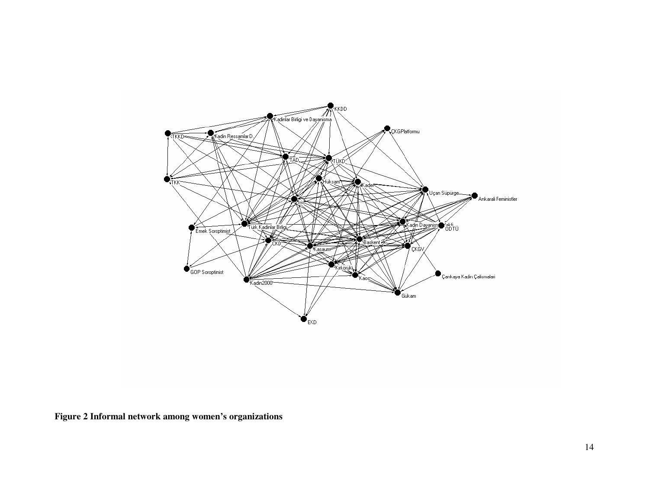

**Figure 2 Informal network among women's organizations**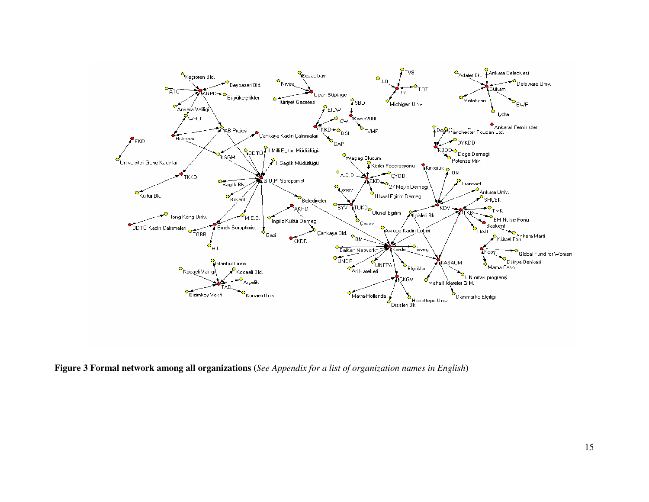

**Figure 3 Formal network among all organizations (***See Appendix for a list of organization names in English***)**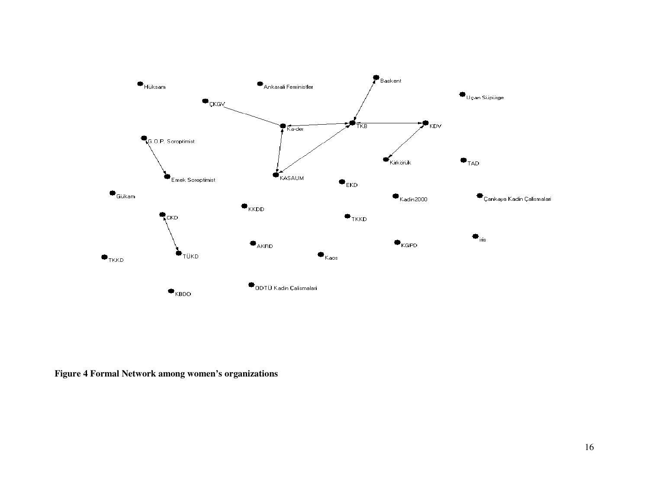

**Figure 4 Formal Network among women's organizations**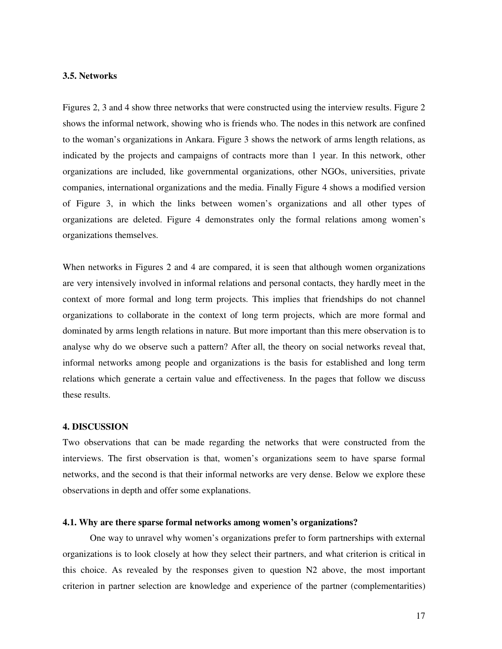# **3.5. Networks**

Figures 2, 3 and 4 show three networks that were constructed using the interview results. Figure 2 shows the informal network, showing who is friends who. The nodes in this network are confined to the woman's organizations in Ankara. Figure 3 shows the network of arms length relations, as indicated by the projects and campaigns of contracts more than 1 year. In this network, other organizations are included, like governmental organizations, other NGOs, universities, private companies, international organizations and the media. Finally Figure 4 shows a modified version of Figure 3, in which the links between women's organizations and all other types of organizations are deleted. Figure 4 demonstrates only the formal relations among women's organizations themselves.

When networks in Figures 2 and 4 are compared, it is seen that although women organizations are very intensively involved in informal relations and personal contacts, they hardly meet in the context of more formal and long term projects. This implies that friendships do not channel organizations to collaborate in the context of long term projects, which are more formal and dominated by arms length relations in nature. But more important than this mere observation is to analyse why do we observe such a pattern? After all, the theory on social networks reveal that, informal networks among people and organizations is the basis for established and long term relations which generate a certain value and effectiveness. In the pages that follow we discuss these results.

## **4. DISCUSSION**

Two observations that can be made regarding the networks that were constructed from the interviews. The first observation is that, women's organizations seem to have sparse formal networks, and the second is that their informal networks are very dense. Below we explore these observations in depth and offer some explanations.

# **4.1. Why are there sparse formal networks among women's organizations?**

 One way to unravel why women's organizations prefer to form partnerships with external organizations is to look closely at how they select their partners, and what criterion is critical in this choice. As revealed by the responses given to question N2 above, the most important criterion in partner selection are knowledge and experience of the partner (complementarities)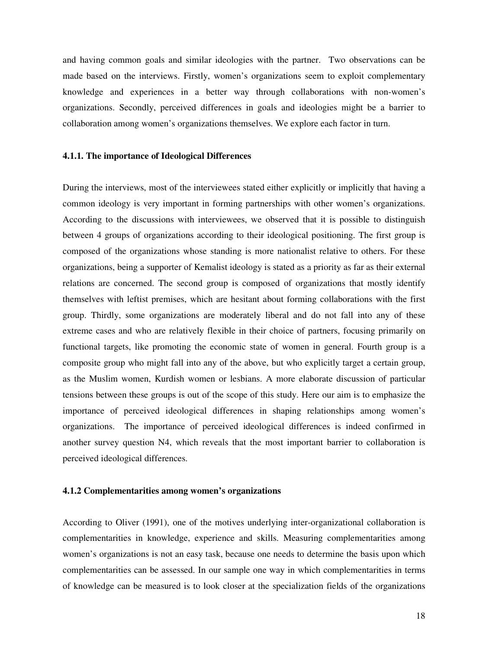and having common goals and similar ideologies with the partner. Two observations can be made based on the interviews. Firstly, women's organizations seem to exploit complementary knowledge and experiences in a better way through collaborations with non-women's organizations. Secondly, perceived differences in goals and ideologies might be a barrier to collaboration among women's organizations themselves. We explore each factor in turn.

# **4.1.1. The importance of Ideological Differences**

During the interviews, most of the interviewees stated either explicitly or implicitly that having a common ideology is very important in forming partnerships with other women's organizations. According to the discussions with interviewees, we observed that it is possible to distinguish between 4 groups of organizations according to their ideological positioning. The first group is composed of the organizations whose standing is more nationalist relative to others. For these organizations, being a supporter of Kemalist ideology is stated as a priority as far as their external relations are concerned. The second group is composed of organizations that mostly identify themselves with leftist premises, which are hesitant about forming collaborations with the first group. Thirdly, some organizations are moderately liberal and do not fall into any of these extreme cases and who are relatively flexible in their choice of partners, focusing primarily on functional targets, like promoting the economic state of women in general. Fourth group is a composite group who might fall into any of the above, but who explicitly target a certain group, as the Muslim women, Kurdish women or lesbians. A more elaborate discussion of particular tensions between these groups is out of the scope of this study. Here our aim is to emphasize the importance of perceived ideological differences in shaping relationships among women's organizations. The importance of perceived ideological differences is indeed confirmed in another survey question N4, which reveals that the most important barrier to collaboration is perceived ideological differences.

# **4.1.2 Complementarities among women's organizations**

According to Oliver (1991), one of the motives underlying inter-organizational collaboration is complementarities in knowledge, experience and skills. Measuring complementarities among women's organizations is not an easy task, because one needs to determine the basis upon which complementarities can be assessed. In our sample one way in which complementarities in terms of knowledge can be measured is to look closer at the specialization fields of the organizations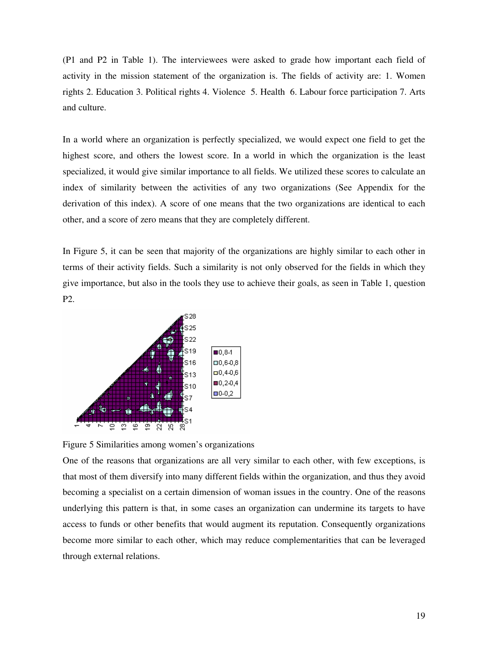(P1 and P2 in Table 1). The interviewees were asked to grade how important each field of activity in the mission statement of the organization is. The fields of activity are: 1. Women rights 2. Education 3. Political rights 4. Violence 5. Health 6. Labour force participation 7. Arts and culture.

In a world where an organization is perfectly specialized, we would expect one field to get the highest score, and others the lowest score. In a world in which the organization is the least specialized, it would give similar importance to all fields. We utilized these scores to calculate an index of similarity between the activities of any two organizations (See Appendix for the derivation of this index). A score of one means that the two organizations are identical to each other, and a score of zero means that they are completely different.

In Figure 5, it can be seen that majority of the organizations are highly similar to each other in terms of their activity fields. Such a similarity is not only observed for the fields in which they give importance, but also in the tools they use to achieve their goals, as seen in Table 1, question P2.



Figure 5 Similarities among women's organizations

One of the reasons that organizations are all very similar to each other, with few exceptions, is that most of them diversify into many different fields within the organization, and thus they avoid becoming a specialist on a certain dimension of woman issues in the country. One of the reasons underlying this pattern is that, in some cases an organization can undermine its targets to have access to funds or other benefits that would augment its reputation. Consequently organizations become more similar to each other, which may reduce complementarities that can be leveraged through external relations.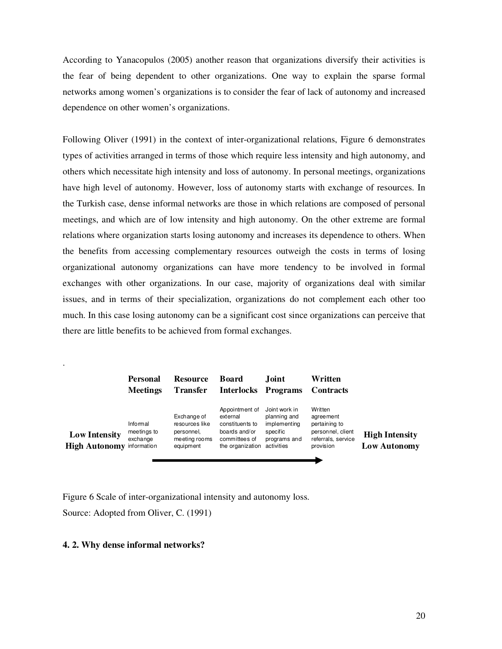According to Yanacopulos (2005) another reason that organizations diversify their activities is the fear of being dependent to other organizations. One way to explain the sparse formal networks among women's organizations is to consider the fear of lack of autonomy and increased dependence on other women's organizations.

Following Oliver (1991) in the context of inter-organizational relations, Figure 6 demonstrates types of activities arranged in terms of those which require less intensity and high autonomy, and others which necessitate high intensity and loss of autonomy. In personal meetings, organizations have high level of autonomy. However, loss of autonomy starts with exchange of resources. In the Turkish case, dense informal networks are those in which relations are composed of personal meetings, and which are of low intensity and high autonomy. On the other extreme are formal relations where organization starts losing autonomy and increases its dependence to others. When the benefits from accessing complementary resources outweigh the costs in terms of losing organizational autonomy organizations can have more tendency to be involved in formal exchanges with other organizations. In our case, majority of organizations deal with similar issues, and in terms of their specialization, organizations do not complement each other too much. In this case losing autonomy can be a significant cost since organizations can perceive that there are little benefits to be achieved from formal exchanges.

|                                                          | <b>Personal</b><br><b>Meetings</b>  | <b>Resource</b><br><b>Transfer</b>                                        | <b>Board</b><br>Interlocks Programs                                                                 | Joint                                                                                   | Written<br>Contracts                                                                          |                                              |
|----------------------------------------------------------|-------------------------------------|---------------------------------------------------------------------------|-----------------------------------------------------------------------------------------------------|-----------------------------------------------------------------------------------------|-----------------------------------------------------------------------------------------------|----------------------------------------------|
| <b>Low Intensity</b><br><b>High Autonomy information</b> | Informal<br>meetings to<br>exchange | Exchange of<br>resources like<br>personnel,<br>meeting rooms<br>equipment | Appointment of<br>external<br>constituents to<br>boards and/or<br>committees of<br>the organization | Joint work in<br>planning and<br>implementing<br>specific<br>programs and<br>activities | Written<br>agreement<br>pertaining to<br>personnel, client<br>referrals, service<br>provision | <b>High Intensity</b><br><b>Low Autonomy</b> |

Figure 6 Scale of inter-organizational intensity and autonomy loss. Source: Adopted from Oliver, C. (1991)

# **4. 2. Why dense informal networks?**

.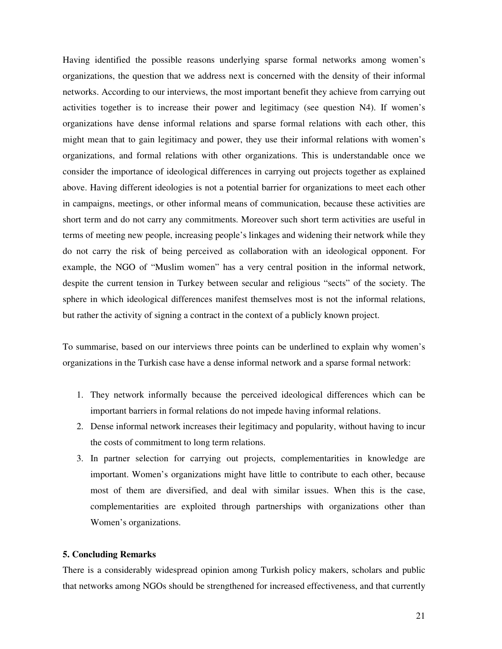Having identified the possible reasons underlying sparse formal networks among women's organizations, the question that we address next is concerned with the density of their informal networks. According to our interviews, the most important benefit they achieve from carrying out activities together is to increase their power and legitimacy (see question N4). If women's organizations have dense informal relations and sparse formal relations with each other, this might mean that to gain legitimacy and power, they use their informal relations with women's organizations, and formal relations with other organizations. This is understandable once we consider the importance of ideological differences in carrying out projects together as explained above. Having different ideologies is not a potential barrier for organizations to meet each other in campaigns, meetings, or other informal means of communication, because these activities are short term and do not carry any commitments. Moreover such short term activities are useful in terms of meeting new people, increasing people's linkages and widening their network while they do not carry the risk of being perceived as collaboration with an ideological opponent. For example, the NGO of "Muslim women" has a very central position in the informal network, despite the current tension in Turkey between secular and religious "sects" of the society. The sphere in which ideological differences manifest themselves most is not the informal relations, but rather the activity of signing a contract in the context of a publicly known project.

To summarise, based on our interviews three points can be underlined to explain why women's organizations in the Turkish case have a dense informal network and a sparse formal network:

- 1. They network informally because the perceived ideological differences which can be important barriers in formal relations do not impede having informal relations.
- 2. Dense informal network increases their legitimacy and popularity, without having to incur the costs of commitment to long term relations.
- 3. In partner selection for carrying out projects, complementarities in knowledge are important. Women's organizations might have little to contribute to each other, because most of them are diversified, and deal with similar issues. When this is the case, complementarities are exploited through partnerships with organizations other than Women's organizations.

# **5. Concluding Remarks**

There is a considerably widespread opinion among Turkish policy makers, scholars and public that networks among NGOs should be strengthened for increased effectiveness, and that currently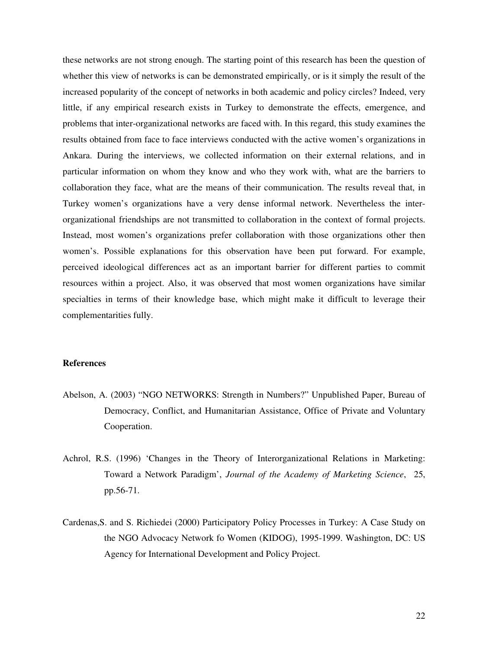these networks are not strong enough. The starting point of this research has been the question of whether this view of networks is can be demonstrated empirically, or is it simply the result of the increased popularity of the concept of networks in both academic and policy circles? Indeed, very little, if any empirical research exists in Turkey to demonstrate the effects, emergence, and problems that inter-organizational networks are faced with. In this regard, this study examines the results obtained from face to face interviews conducted with the active women's organizations in Ankara. During the interviews, we collected information on their external relations, and in particular information on whom they know and who they work with, what are the barriers to collaboration they face, what are the means of their communication. The results reveal that, in Turkey women's organizations have a very dense informal network. Nevertheless the interorganizational friendships are not transmitted to collaboration in the context of formal projects. Instead, most women's organizations prefer collaboration with those organizations other then women's. Possible explanations for this observation have been put forward. For example, perceived ideological differences act as an important barrier for different parties to commit resources within a project. Also, it was observed that most women organizations have similar specialties in terms of their knowledge base, which might make it difficult to leverage their complementarities fully.

# **References**

- Abelson, A. (2003) "NGO NETWORKS: Strength in Numbers?" Unpublished Paper, Bureau of Democracy, Conflict, and Humanitarian Assistance, Office of Private and Voluntary Cooperation.
- Achrol, R.S. (1996) 'Changes in the Theory of Interorganizational Relations in Marketing: Toward a Network Paradigm', *Journal of the Academy of Marketing Science*, 25, pp.56-71.
- Cardenas,S. and S. Richiedei (2000) Participatory Policy Processes in Turkey: A Case Study on the NGO Advocacy Network fo Women (KIDOG), 1995-1999. Washington, DC: US Agency for International Development and Policy Project.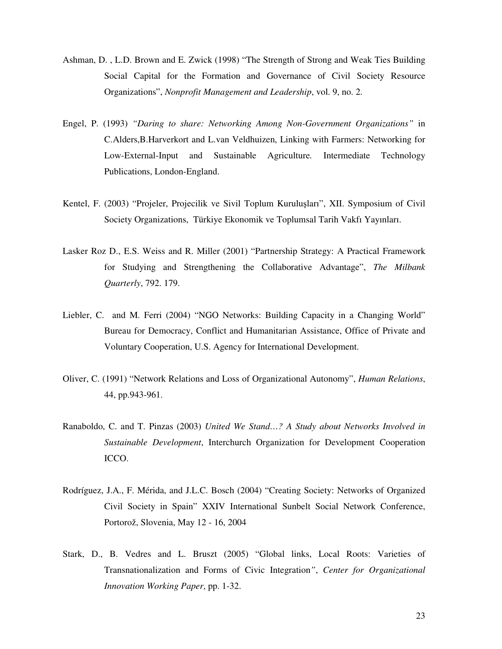- Ashman, D. , L.D. Brown and E. Zwick (1998) "The Strength of Strong and Weak Ties Building Social Capital for the Formation and Governance of Civil Society Resource Organizations", *Nonprofit Management and Leadership*, vol. 9, no. 2.
- Engel, P. (1993) *"Daring to share: Networking Among Non-Government Organizations"* in C.Alders,B.Harverkort and L.van Veldhuizen, Linking with Farmers: Networking for Low-External-Input and Sustainable Agriculture*.* Intermediate Technology Publications, London-England.
- Kentel, F. (2003) "Projeler, Projecilik ve Sivil Toplum Kuruluşları", XII. Symposium of Civil Society Organizations, Türkiye Ekonomik ve Toplumsal Tarih Vakfı Yayınları.
- Lasker Roz D., E.S. Weiss and R. Miller (2001) "Partnership Strategy: A Practical Framework for Studying and Strengthening the Collaborative Advantage", *The Milbank Quarterly*, 792. 179.
- Liebler, C. and M. Ferri (2004) "NGO Networks: Building Capacity in a Changing World" Bureau for Democracy, Conflict and Humanitarian Assistance, Office of Private and Voluntary Cooperation, U.S. Agency for International Development.
- Oliver, C. (1991) "Network Relations and Loss of Organizational Autonomy", *Human Relations*, 44, pp.943-961.
- Ranaboldo, C. and T. Pinzas (2003) *United We Stand…? A Study about Networks Involved in Sustainable Development*, Interchurch Organization for Development Cooperation ICCO.
- Rodríguez, J.A., F. Mérida, and J.L.C. Bosch (2004) "Creating Society: Networks of Organized Civil Society in Spain" XXIV International Sunbelt Social Network Conference, Portorož, Slovenia, May 12 - 16, 2004
- Stark, D., B. Vedres and L. Bruszt (2005) "Global links, Local Roots: Varieties of Transnationalization and Forms of Civic Integration*"*, *Center for Organizational Innovation Working Paper*, pp. 1-32.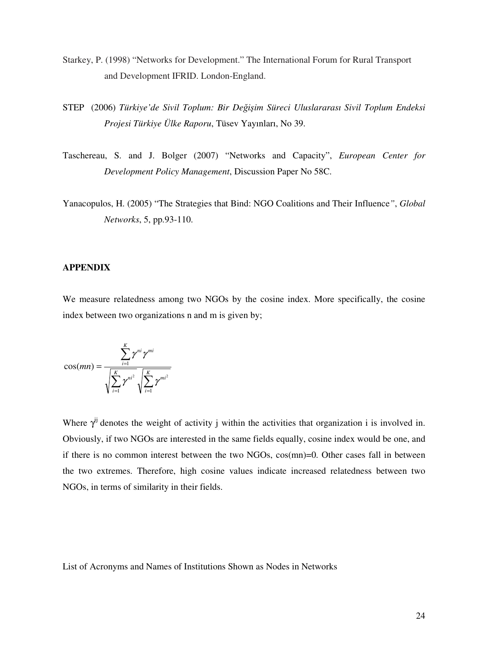- Starkey, P. (1998) "Networks for Development." The International Forum for Rural Transport and Development IFRID. London-England.
- STEP (2006) *Türkiye'de Sivil Toplum: Bir De*ğ*i*ş*im Süreci Uluslararası Sivil Toplum Endeksi Projesi Türkiye Ülke Raporu*, Tüsev Yayınları, No 39.
- Taschereau, S. and J. Bolger (2007) "Networks and Capacity", *European Center for Development Policy Management*, Discussion Paper No 58C.
- Yanacopulos, H. (2005) "The Strategies that Bind: NGO Coalitions and Their Influence*"*, *Global Networks*, 5, pp.93-110.

# **APPENDIX**

We measure relatedness among two NGOs by the cosine index. More specifically, the cosine index between two organizations n and m is given by;

$$
\cos(mn) = \frac{\sum_{i=1}^{K} \gamma^{ni} \gamma^{mi}}{\sqrt{\sum_{i=1}^{K} \gamma^{ni^2}} \sqrt{\sum_{i=1}^{K} \gamma^{mi^2}}}
$$

Where  $\gamma^{ij}$  denotes the weight of activity j within the activities that organization i is involved in. Obviously, if two NGOs are interested in the same fields equally, cosine index would be one, and if there is no common interest between the two NGOs, cos(mn)=0. Other cases fall in between the two extremes. Therefore, high cosine values indicate increased relatedness between two NGOs, in terms of similarity in their fields.

List of Acronyms and Names of Institutions Shown as Nodes in Networks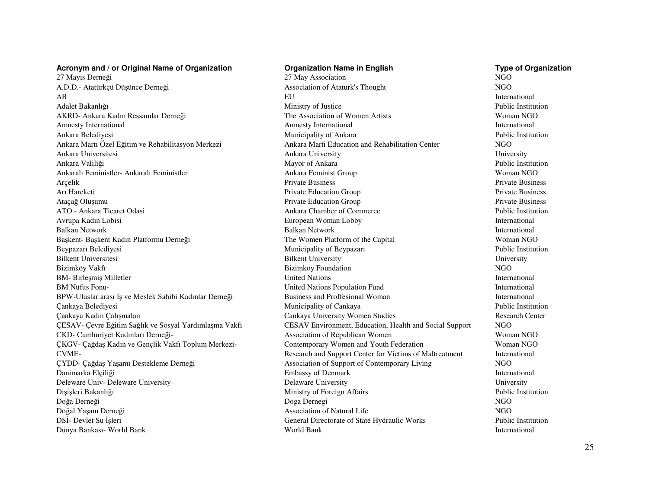### **Acronym and / or Original Name of Organization**

27 Mayıs Derneği 27 May AssociationA.D.D.- Atatürkçü Düşünce DerneğiAB EUAdalet BakanlığıAKRD- Ankara Kadın Ressamlar DerneğiAmnesty InternationalAnkara BelediyesiAnkara Martı Özel Eğitim ve Rehabilitasyon MerkeziAnkara UniversitesiAnkara ValiliğiAnkaralı Feministler- Ankaralı FeministlerArçelikArı HareketiAtaçağ OluşumuATO - Ankara Ticaret OdasiAvrupa Kadın LobisiBalkan NetworkBaşkent- Başkent Kadın Platformu Derneği The Women Platform of the Capital Woman NGO Beypazarı BelediyesiBilkent ÜniversitesiBizimköy VakfıBM- Birleşmiş MilletlerBM Nüfus Fonu-BPW-Uluslar arası İş ve Meslek Sahibi Kadınlar Derneği Çankaya BelediyesiÇankaya Kadın ÇalışmalarıÇESAV- Çevre Eğitim Sağlık ve Sosyal Yardımlaşma VakfıCKD- Cumhuriyet Kadınları Derneği-ÇKGV- Çağdaş Kadın ve Gençlik Vakfı Toplum Merkezi- Contemporary Women and Youth FederationCVME-<br>
Research and Support Center for Victims of Maltreatment ÇYDD- Çağdaş Yaşamı Destekleme Derneği Association of Support of Contemporary Living NGODanimarka ElçiliğiDeleware Univ- Deleware UniversityDışişleri BakanlığıDoğa DerneğiDoğal Yaşam DerneğiDSİ- Devlet Su İşleriDünya Bankası- World Bank

## **Organization Name in English Type of Organization**<br>
27 May Association<br>
27 May Association n NGO Association of Ataturk's Thought U<br>
International<br>
P. 11. November 2008 Ministry of Justice The Association of Women ArtistsAmnesty International Municipality of Ankara Ankara Marti Education and Rehabilitation Centery University Ankara University Mayor of Ankara Ankara Feminist Group Private Business Private Business Private Education GroupPrivate Education Group Ankara Chamber of Commerce European Woman Lobbyk Balkan Network International Municipality of Beypazarı Bilkent University Bizimkoy Foundationn NGO s International United Nations United Nations Population FundUnited Nations Population Fund<br>
Business and Proffesional Woman<br>
International
International Municipality of Cankaya Research Center Cankaya University Women Studies CESAV Environment, Education, Health and Social Support NGOn Woman NGO Association of Republican Womenn Woman NGO k International Embassy of Denmark Delaware University University Ministry of Foreign Affairs Doga Dernegi NGO Association of Natural Lifee NGO General Directorate of State Hydraulic Works k World Bank International

 $NGO$ International Public Institution Woman NGOInternational Public Institution NGO Public Institution Woman NGO**Private Business**  Private Business Public Institution International **Public Institution** University<br>NGO Public InstitutionInternational Public Institution<br>NGO  $NGO$ **Public Institution**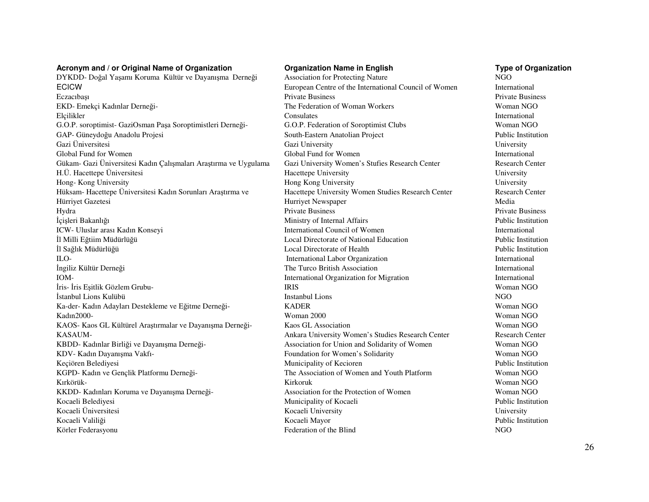### **Acronym and / or Original Name of Organization**

DYKDD- Doğal Yaşamı Koruma Kültür ve Dayanışma Derneği ECICW EUROPEAN EUROPEAN EUROPEAN EUROPEAN EUROPEAN EUROPEAN EUROPEAN EUROPEAN EUROPEAN EUROPEAN EUROPEAN EUROPEAN EUROPEAN EUROPEAN EUROPEAN EUROPEAN EUROPEAN EUROPEAN EUROPEAN EUROPEAN EUROPEAN EUROPEAN EUROPEAN EUROPEAN EczacıbaşıEKD- Emekçi Kadınlar Derneği-ElçiliklerG.O.P. soroptimist- GaziOsman Paşa Soroptimistleri Derneği- G.O.P. Federation of Soroptimist Clubs Woman NGOGAP- Güneydoğu Anadolu Projesi South-Eastern Anatolian Project Gazi ÜniversitesiGlobal Fund for WomenGükam- Gazi Üniversitesi Kadın Çalışmaları Araştırma ve Uygulama H.Ü. Hacettepe ÜniversitesiHong- Kong UniversityHüksam- Hacettepe Üniversitesi Kadın Sorunları Arastırma ve Hürriyet GazetesiHydra Private Business Private Business İçişleri BakanlığıICW- Uluslar arası Kadın Konseyiİl Milli Eğtiim Müdürlüğüİl Sağlık MüdürlüğüILO- International Labor Organizationİngiliz Kültür Derneğ<sup>i</sup>IOM- International Organization for Migrationİris- İris Eşitlik Gözlem Grubu- IRISİstanbul Lions KulübüKa-der- Kadın Adayları Destekleme ve Eğitme Derneği- KADERKadın2000- Woman 2000KAOS- Kaos GL Kültürel Araştırmalar ve Dayanışma Derneği-<br>
Kaos GL Association KASAUM-<br>
Ankara University Women's Studies Research Center KBDD- Kadınlar Birliği ve Dayanışma Derneği-KDV- Kadın Dayanışma Vakfı- Foundation for Women's Solidarity Women's Solidarity Keçiören BelediyesiKGPD- Kadın ve Gençlik Platformu Derneği- The Association of Women and Youth PlatformKırkörük- KirkorukKKDD- Kadınları Koruma ve Dayanışma Derneği-Kocaeli BelediyesiKocaeli ÜniversitesiKocaeli ValiliğiKörler Federasyonu

 **Organization Name in English Type of Organization** Private BusinessPrivate Business<br>The Federation of Woman Workers<br>Woman NGO Consulates International Gazi UniversityGlobal Fund for Women<br>
Gazi University Women's Stufies Research Center<br>
Research Center

Research Center Hacettepe UniversityHong Kong University<br>
Hacettepe University Women Studies Research Center<br>
Research Center

Research Center Hurriyet Newspaperr Media Ministry of Internal Affairs International Council of WomenLocal Directorate of National Education<br>
Local Directorate of Health<br>
Public Institution Local Directorate of Health The Turco British AssociationS Woman NGO ii in the Instanbul Lions and the Instanbul Lions and the Instanbul Lions and the Instanbul Lions and Instanbul Lions and Instanbul Lions and Instanbul Lions and Instanbul Lions and Instanbul Lions and Instanbul Lions and R Woman NGO 0 Woman NGO n Woman NGO Association for Union and Solidarity of Womenn Public Institution Municipality of KeciorenKirkoruk Woman NGO<br>Association for the Protection of Women NGO<br>Woman NGO Municipality of Kocaeli Kocaeli University Kocaeli MayorFederation of the Blind NGO

**International**  Woman NGOInternational **Public Institution** University<br>International University<br>University **Private Business**  Public InstitutionInternational<br>Public Institution International International International<br>Woman NGO Woman NGO Research Center Woman NGOWoman NGO Woman NGO Woman NGOPublic Institution University Public Institution